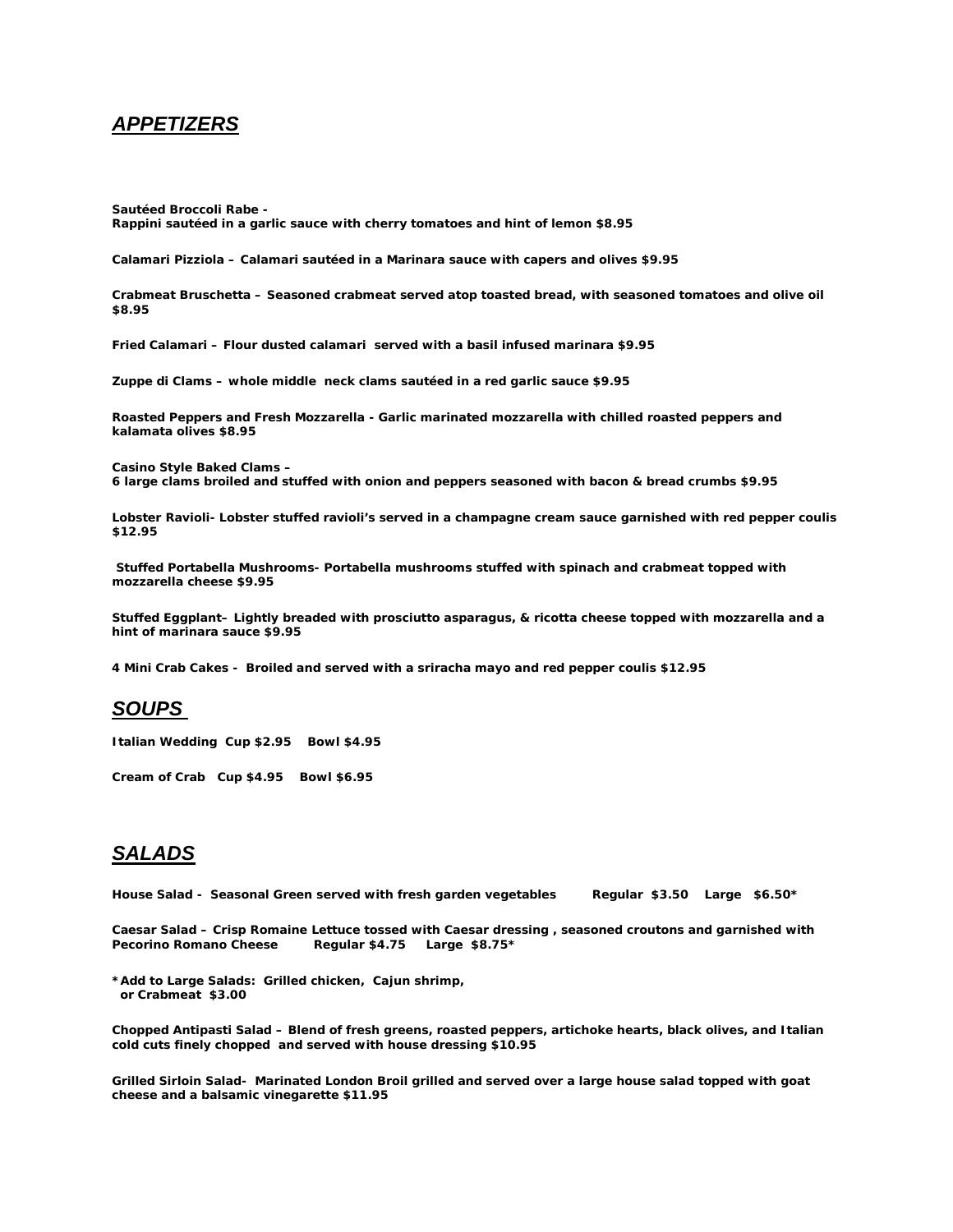### *APPETIZERS*

*Sautéed Broccoli Rabe -* **Rappini sautéed in a garlic sauce with cherry tomatoes and hint of lemon \$8.95**

*Calamari Pizziola –* **Calamari sautéed in a Marinara sauce with capers and olives \$9.95**

*Crabmeat Bruschetta –* **Seasoned crabmeat served atop toasted bread, with seasoned tomatoes and olive oil \$8.95**

*Fried Calamari –* **Flour dusted calamari served with a basil infused marinara \$9.95**

*Zuppe di Clams –* **whole middle neck clams sautéed in a red garlic sauce \$9.95**

*Roasted Peppers and Fresh Mozzarella -* **Garlic marinated mozzarella with chilled roasted peppers and kalamata olives \$8.95**

*Casino Style Baked Clams –* **6 large clams broiled and stuffed with onion and peppers seasoned with bacon & bread crumbs \$9.95**

*Lobster Ravioli-* **Lobster stuffed ravioli's served in a champagne cream sauce garnished with red pepper coulis \$12.95**

*Stuffed Portabella Mushrooms***- Portabella mushrooms stuffed with spinach and crabmeat topped with mozzarella cheese \$9.95**

*Stuffed Eggplant***– Lightly breaded with prosciutto asparagus, & ricotta cheese topped with mozzarella and a hint of marinara sauce \$9.95**

*4 Mini Crab Cakes -* **Broiled and served with a sriracha mayo and red pepper coulis \$12.95**

### *SOUPS*

*Italian Wedding* **Cup \$2.95 Bowl \$4.95** 

*Cream of Crab* **Cup \$4.95 Bowl \$6.95** 

# *SALADS*

House Salad - Seasonal Green served with fresh garden vegetables Regular \$3.50 Large \$6.50\*

*Caesar Salad –* **Crisp Romaine Lettuce tossed with Caesar dressing , seasoned croutons and garnished with Pecorino Romano Cheese Regular \$4.75 Large \$8.75\***

*\*Add to Large Salads:* **Grilled chicken, Cajun shrimp, or Crabmeat \$3.00**

*Chopped Antipasti Salad –* **Blend of fresh greens, roasted peppers, artichoke hearts, black olives, and Italian cold cuts finely chopped and served with house dressing \$10.95**

*Grilled Sirloin Salad-* **Marinated London Broil grilled and served over a large house salad topped with goat cheese and a balsamic vinegarette \$11.95**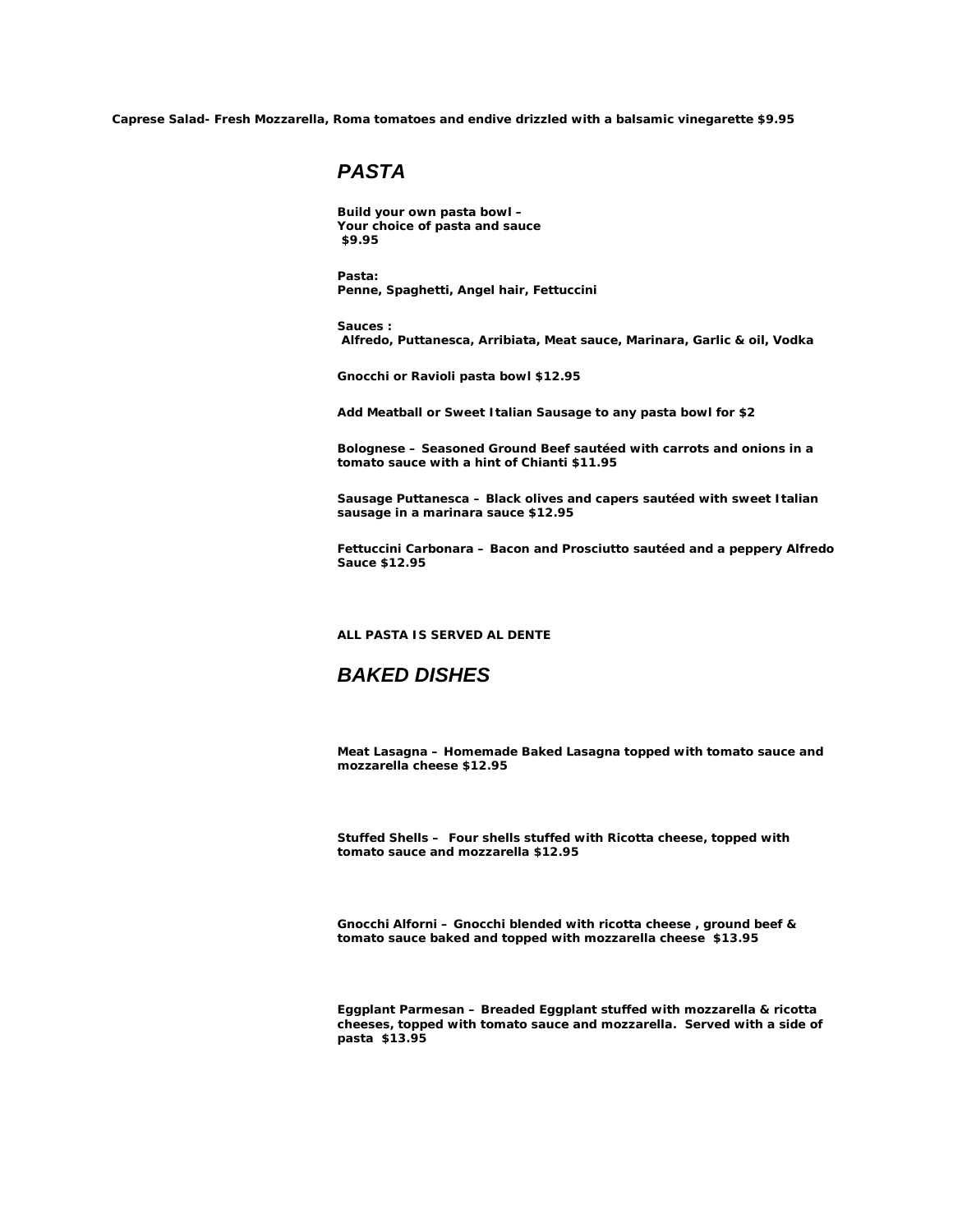*Caprese Salad-* **Fresh Mozzarella, Roma tomatoes and endive drizzled with a balsamic vinegarette \$9.95**

### *PASTA*

*Build your own pasta bowl* **– Your choice of pasta and sauce \$9.95**

*Pasta:* **Penne, Spaghetti, Angel hair, Fettuccini**

*Sauces* **: Alfredo, Puttanesca, Arribiata, Meat sauce, Marinara, Garlic & oil, Vodka** 

*Gnocchi or Ravioli pasta bowl* **\$12.95** 

*Add Meatball or Sweet Italian Sausage* **to any pasta bowl for \$2**

*Bolognese* **– Seasoned Ground Beef sautéed with carrots and onions in a tomato sauce with a hint of Chianti \$11.95**

*Sausage Puttanesca* **– Black olives and capers sautéed with sweet Italian sausage in a marinara sauce \$12.95**

*Fettuccini Carbonara* **– Bacon and Prosciutto sautéed and a peppery Alfredo Sauce \$12.95**

*ALL PASTA IS SERVED AL DENTE*

## *BAKED DISHES*

*Meat Lasagna –* **Homemade Baked Lasagna topped with tomato sauce and mozzarella cheese \$12.95**

*Stuffed Shells –* **Four shells stuffed with Ricotta cheese, topped with tomato sauce and mozzarella \$12.95**

*Gnocchi Alforni –* **Gnocchi blended with ricotta cheese , ground beef & tomato sauce baked and topped with mozzarella cheese \$13.95**

*Eggplant Parmesan –* **Breaded Eggplant stuffed with mozzarella & ricotta cheeses, topped with tomato sauce and mozzarella. Served with a side of pasta \$13.95**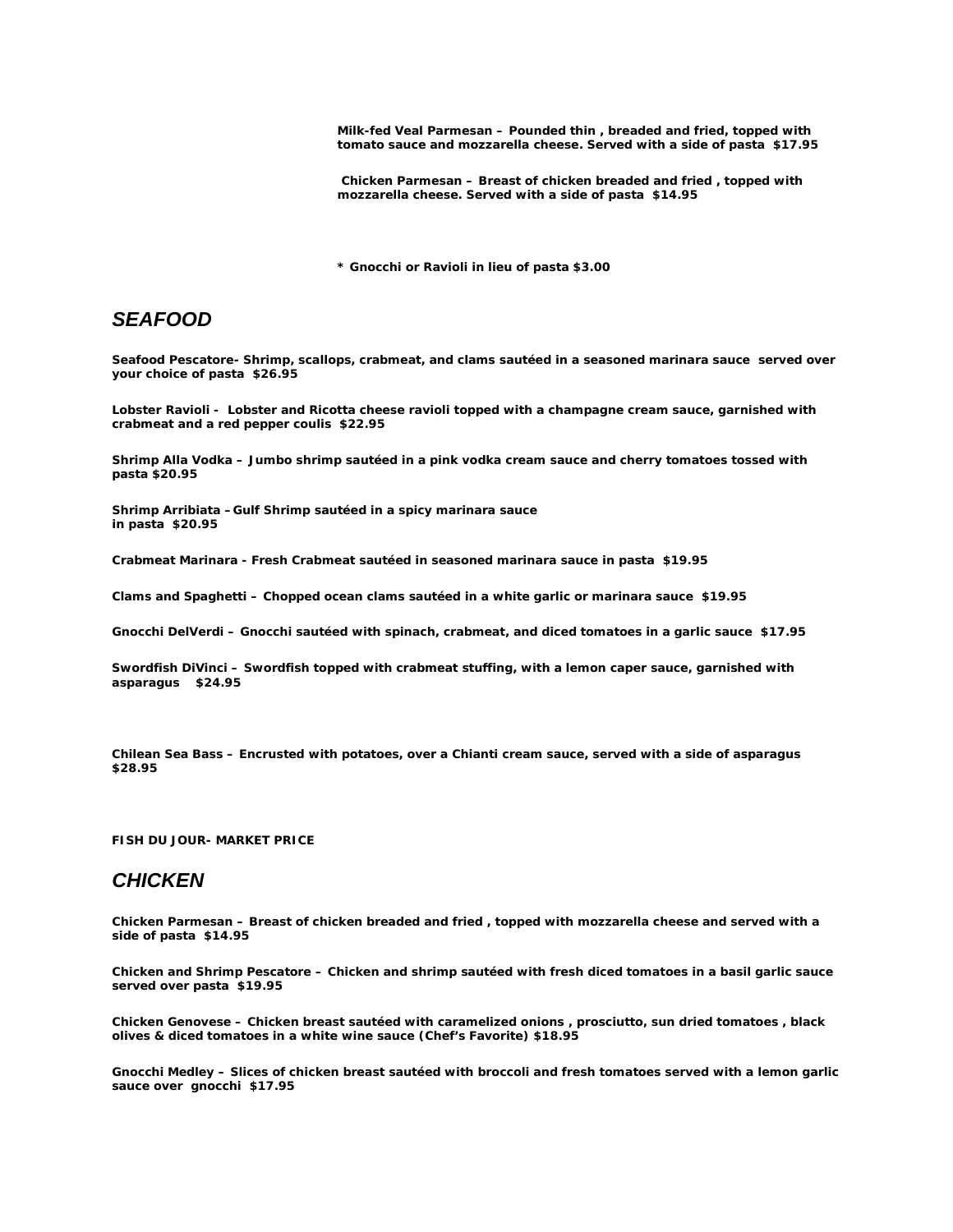*Milk-fed Veal Parmesan –* **Pounded thin , breaded and fried, topped with tomato sauce and mozzarella cheese. Served with a side of pasta \$17.95**

*Chicken Parmesan –* **Breast of chicken breaded and fried , topped with mozzarella cheese. Served with a side of pasta \$14.95** 

**\* Gnocchi or Ravioli in lieu of pasta \$3.00**

#### *SEAFOOD*

*Seafood Pescatore-* **Shrimp, scallops, crabmeat, and clams sautéed in a seasoned marinara sauce served over your choice of pasta \$26.95**

*Lobster Ravioli* **- Lobster and Ricotta cheese ravioli topped with a champagne cream sauce, garnished with crabmeat and a red pepper coulis \$22.95**

*Shrimp Alla Vodka* **– Jumbo shrimp sautéed in a pink vodka cream sauce and cherry tomatoes tossed with pasta \$20.95**

*Shrimp Arribiata* **–Gulf Shrimp sautéed in a spicy marinara sauce in pasta \$20.95**

*Crabmeat Marinara* **- Fresh Crabmeat sautéed in seasoned marinara sauce in pasta \$19.95**

*Clams and Spaghetti* **– Chopped ocean clams sautéed in a white garlic or marinara sauce \$19.95**

*Gnocchi DelVerdi* **– Gnocchi sautéed with spinach, crabmeat, and diced tomatoes in a garlic sauce \$17.95**

*Swordfish DiVinci* **– Swordfish topped with crabmeat stuffing, with a lemon caper sauce, garnished with asparagus \$24.95**

*Chilean Sea Bass* **– Encrusted with potatoes, over a Chianti cream sauce, served with a side of asparagus \$28.95**

**FISH DU JOUR- MARKET PRICE**

## *CHICKEN*

*Chicken Parmesan –* **Breast of chicken breaded and fried , topped with mozzarella cheese and served with a side of pasta \$14.95**

*Chicken and Shrimp Pescatore* **– Chicken and shrimp sautéed with fresh diced tomatoes in a basil garlic sauce served over pasta \$19.95**

*Chicken Genovese* **– Chicken breast sautéed with caramelized onions , prosciutto, sun dried tomatoes , black olives & diced tomatoes in a white wine sauce (Chef's Favorite) \$18.95**

*Gnocchi Medley* **– Slices of chicken breast sautéed with broccoli and fresh tomatoes served with a lemon garlic sauce over gnocchi \$17.95**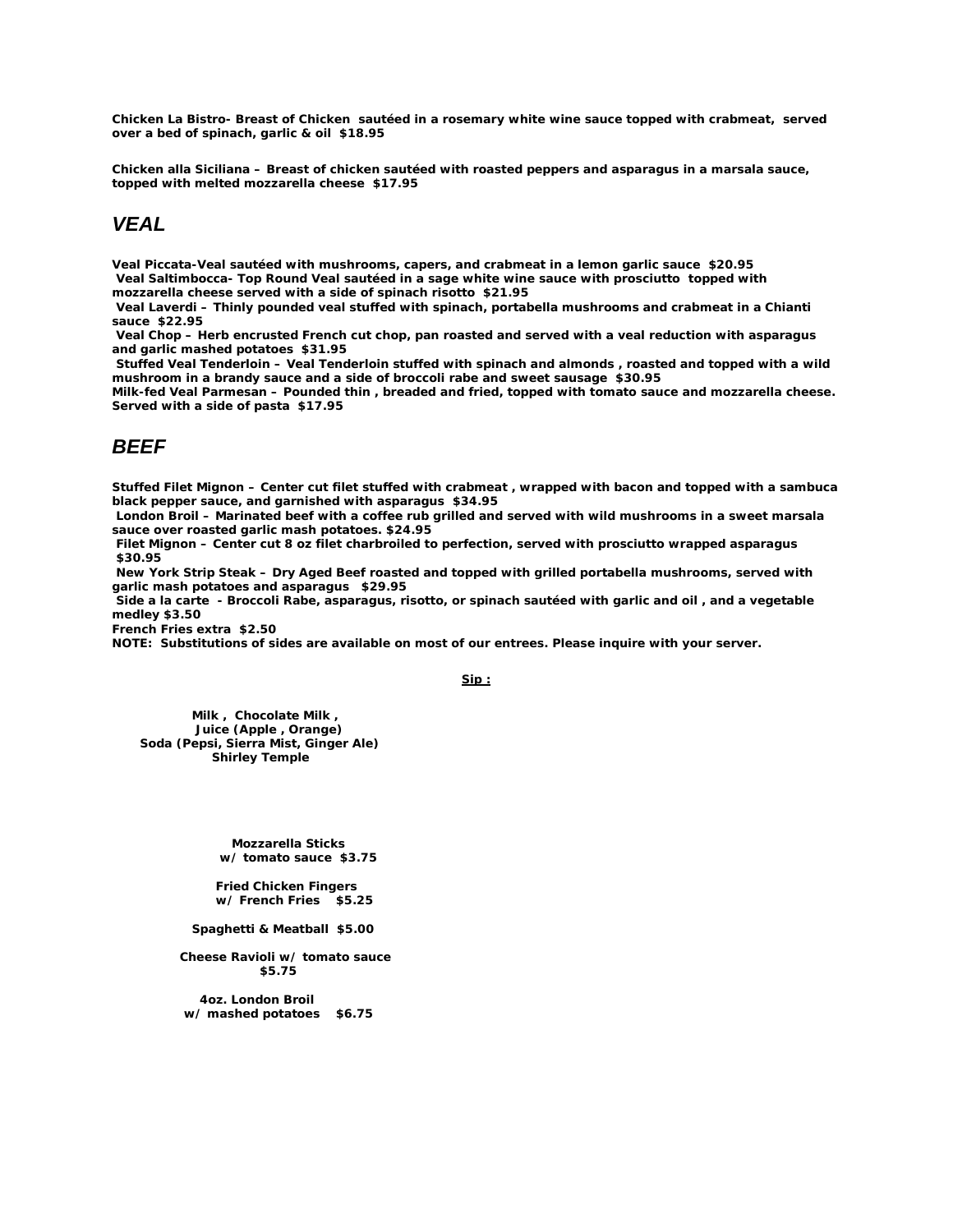*Chicken La Bistro***- Breast of Chicken sautéed in a rosemary white wine sauce topped with crabmeat, served over a bed of spinach, garlic & oil \$18.95**

*Chicken alla Siciliana* **– Breast of chicken sautéed with roasted peppers and asparagus in a marsala sauce, topped with melted mozzarella cheese \$17.95**

# *VEAL*

*Veal Piccata***-Veal sautéed with mushrooms, capers, and crabmeat in a lemon garlic sauce \$20.95**  *Veal Saltimbocca***- Top Round Veal sautéed in a sage white wine sauce with prosciutto topped with mozzarella cheese served with a side of spinach risotto \$21.95** 

*Veal Laverdi* **– Thinly pounded veal stuffed with spinach, portabella mushrooms and crabmeat in a Chianti sauce \$22.95**

*Veal Chop* **– Herb encrusted French cut chop, pan roasted and served with a veal reduction with asparagus and garlic mashed potatoes \$31.95** 

*Stuffed Veal Tenderloin* **– Veal Tenderloin stuffed with spinach and almonds , roasted and topped with a wild mushroom in a brandy sauce and a side of broccoli rabe and sweet sausage \$30.95**

*Milk-fed Veal Parmesan –* **Pounded thin , breaded and fried, topped with tomato sauce and mozzarella cheese. Served with a side of pasta \$17.95** 

# *BEEF*

*Stuffed Filet Mignon* **– Center cut filet stuffed with crabmeat , wrapped with bacon and topped with a sambuca black pepper sauce, and garnished with asparagus \$34.95** 

*London Broil* **– Marinated beef with a coffee rub grilled and served with wild mushrooms in a sweet marsala sauce over roasted garlic mash potatoes. \$24.95** 

*Filet Mignon* **– Center cut 8 oz filet charbroiled to perfection, served with prosciutto wrapped asparagus \$30.95** 

*New York Strip Steak* **– Dry Aged Beef roasted and topped with grilled portabella mushrooms, served with garlic mash potatoes and asparagus \$29.95** 

*Side a la carte* **- Broccoli Rabe, asparagus, risotto, or spinach sautéed with garlic and oil , and a vegetable medley \$3.50**

**French Fries extra \$2.50**

**NOTE: Substitutions of sides are available on most of our entrees. Please inquire with your server.** 

**Sip :**

 **Milk , Chocolate Milk , Juice (Apple , Orange) Soda (Pepsi, Sierra Mist, Ginger Ale) Shirley Temple** 

> **Mozzarella Sticks w/ tomato sauce \$3.75**

 **Fried Chicken Fingers w/ French Fries \$5.25**

 **Spaghetti & Meatball \$5.00**

 **Cheese Ravioli w/ tomato sauce \$5.75**

 **4oz. London Broil w/ mashed potatoes \$6.75**